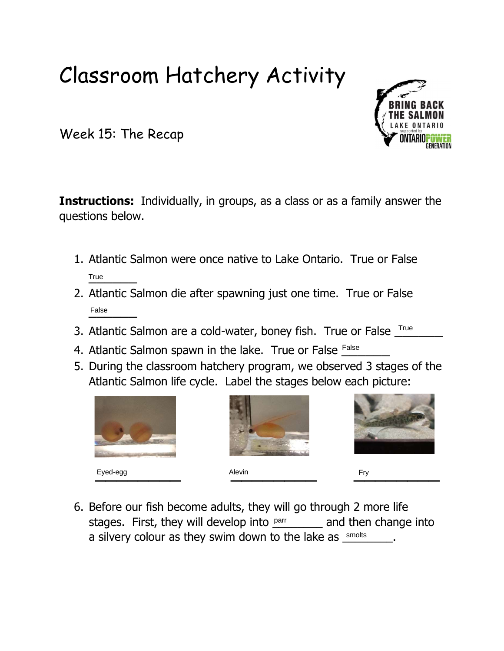## Classroom Hatchery Activity

Week 15: The Recap

**Instructions:** Individually, in groups, as a class or as a family answer the questions below.

- 1. Atlantic Salmon were once native to Lake Ontario. True or False True
- 2. Atlantic Salmon die after spawning just one time. True or False False
- 3. Atlantic Salmon are a cold-water, boney fish. True or False True
- 4. Atlantic Salmon spawn in the lake. True or False False
- 5. During the classroom hatchery program, we observed 3 stages of the Atlantic Salmon life cycle. Label the stages below each picture:







6. Before our fish become adults, they will go through 2 more life stages. First, they will develop into  $_{\text{par}}$  and then change into a silvery colour as they swim down to the lake as  $\frac{\text{smolts}}{\text{smolts}}$ .